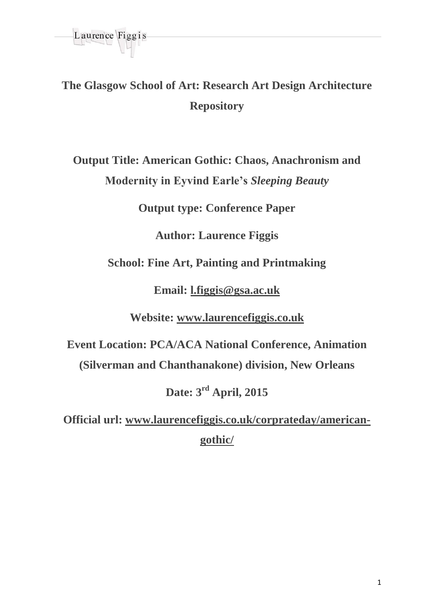

**The Glasgow School of Art: Research Art Design Architecture Repository**

**Output Title: American Gothic: Chaos, Anachronism and Modernity in Eyvind Earle's** *Sleeping Beauty*

**Output type: Conference Paper**

**Author: Laurence Figgis**

**School: Fine Art, Painting and Printmaking**

**Email: [l.figgis@gsa.ac.uk](mailto:l.figgis@gsa.ac.uk)**

**Website: [www.laurencefiggis.co.uk](http://www.laurencefiggis.co.uk/)**

**Event Location: PCA/ACA National Conference, Animation (Silverman and Chanthanakone) division, New Orleans**

**Date: 3rd April, 2015**

**Official url: [www.laurencefiggis.co.uk/corprateday/a](http://www.laurencefiggis.co.uk/corprateday/)mericangothic/**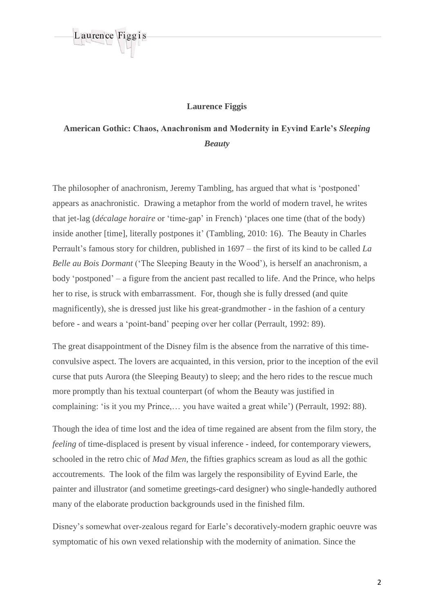

## **Laurence Figgis**

## **American Gothic: Chaos, Anachronism and Modernity in Eyvind Earle's** *Sleeping Beauty*

The philosopher of anachronism, Jeremy Tambling, has argued that what is 'postponed' appears as anachronistic. Drawing a metaphor from the world of modern travel, he writes that jet-lag (*décalage horaire* or 'time-gap' in French) 'places one time (that of the body) inside another [time], literally postpones it' (Tambling, 2010: 16). The Beauty in Charles Perrault's famous story for children, published in 1697 – the first of its kind to be called *La Belle au Bois Dormant* ('The Sleeping Beauty in the Wood'), is herself an anachronism, a body 'postponed' – a figure from the ancient past recalled to life. And the Prince, who helps her to rise, is struck with embarrassment. For, though she is fully dressed (and quite magnificently), she is dressed just like his great-grandmother - in the fashion of a century before - and wears a 'point-band' peeping over her collar (Perrault, 1992: 89).

The great disappointment of the Disney film is the absence from the narrative of this timeconvulsive aspect. The lovers are acquainted, in this version, prior to the inception of the evil curse that puts Aurora (the Sleeping Beauty) to sleep; and the hero rides to the rescue much more promptly than his textual counterpart (of whom the Beauty was justified in complaining: 'is it you my Prince,… you have waited a great while') (Perrault, 1992: 88).

Though the idea of time lost and the idea of time regained are absent from the film story, the *feeling* of time-displaced is present by visual inference - indeed, for contemporary viewers, schooled in the retro chic of *Mad Men*, the fifties graphics scream as loud as all the gothic accoutrements. The look of the film was largely the responsibility of Eyvind Earle, the painter and illustrator (and sometime greetings-card designer) who single-handedly authored many of the elaborate production backgrounds used in the finished film.

Disney's somewhat over-zealous regard for Earle's decoratively-modern graphic oeuvre was symptomatic of his own vexed relationship with the modernity of animation. Since the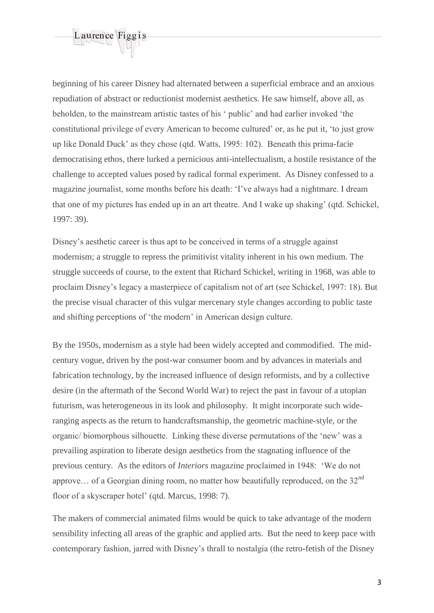

beginning of his career Disney had alternated between a superficial embrace and an anxious repudiation of abstract or reductionist modernist aesthetics. He saw himself, above all, as beholden, to the mainstream artistic tastes of his ' public' and had earlier invoked 'the constitutional privilege of every American to become cultured' or, as he put it, 'to just grow up like Donald Duck' as they chose (qtd. Watts, 1995: 102). Beneath this prima-facie democratising ethos, there lurked a pernicious anti-intellectualism, a hostile resistance of the challenge to accepted values posed by radical formal experiment. As Disney confessed to a magazine journalist, some months before his death: 'I've always had a nightmare. I dream that one of my pictures has ended up in an art theatre. And I wake up shaking' (qtd. Schickel, 1997: 39).

Disney's aesthetic career is thus apt to be conceived in terms of a struggle against modernism; a struggle to repress the primitivist vitality inherent in his own medium. The struggle succeeds of course, to the extent that Richard Schickel, writing in 1968, was able to proclaim Disney's legacy a masterpiece of capitalism not of art (see Schickel, 1997: 18). But the precise visual character of this vulgar mercenary style changes according to public taste and shifting perceptions of 'the modern' in American design culture.

By the 1950s, modernism as a style had been widely accepted and commodified. The midcentury vogue, driven by the post-war consumer boom and by advances in materials and fabrication technology, by the increased influence of design reformists, and by a collective desire (in the aftermath of the Second World War) to reject the past in favour of a utopian futurism, was heterogeneous in its look and philosophy. It might incorporate such wideranging aspects as the return to handcraftsmanship, the geometric machine-style, or the organic/ biomorphous silhouette. Linking these diverse permutations of the 'new' was a prevailing aspiration to liberate design aesthetics from the stagnating influence of the previous century. As the editors of *Interiors* magazine proclaimed in 1948: 'We do not approve... of a Georgian dining room, no matter how beautifully reproduced, on the  $32<sup>nd</sup>$ floor of a skyscraper hotel' (qtd. Marcus, 1998: 7).

The makers of commercial animated films would be quick to take advantage of the modern sensibility infecting all areas of the graphic and applied arts. But the need to keep pace with contemporary fashion, jarred with Disney's thrall to nostalgia (the retro-fetish of the Disney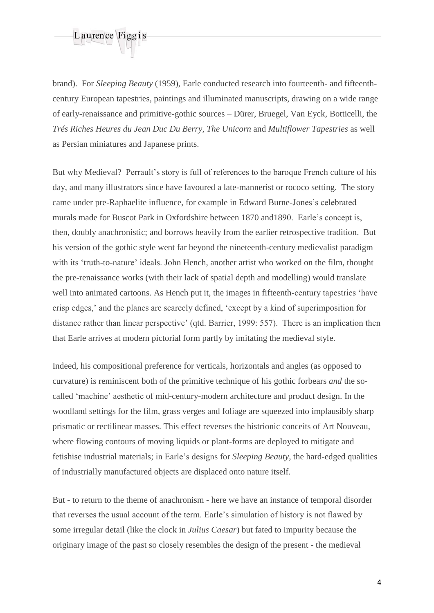

brand). For *Sleeping Beauty* (1959), Earle conducted research into fourteenth- and fifteenthcentury European tapestries, paintings and illuminated manuscripts, drawing on a wide range of early-renaissance and primitive-gothic sources – Dürer, Bruegel, Van Eyck, Botticelli, the *Trés Riches Heures du Jean Duc Du Berry*, *The Unicorn* and *Multiflower Tapestries* as well as Persian miniatures and Japanese prints.

But why Medieval? Perrault's story is full of references to the baroque French culture of his day, and many illustrators since have favoured a late-mannerist or rococo setting. The story came under pre-Raphaelite influence, for example in Edward Burne-Jones's celebrated murals made for Buscot Park in Oxfordshire between 1870 and1890. Earle's concept is, then, doubly anachronistic; and borrows heavily from the earlier retrospective tradition. But his version of the gothic style went far beyond the nineteenth-century medievalist paradigm with its 'truth-to-nature' ideals. John Hench, another artist who worked on the film, thought the pre-renaissance works (with their lack of spatial depth and modelling) would translate well into animated cartoons. As Hench put it, the images in fifteenth-century tapestries 'have crisp edges,' and the planes are scarcely defined, 'except by a kind of superimposition for distance rather than linear perspective' (qtd. Barrier, 1999: 557). There is an implication then that Earle arrives at modern pictorial form partly by imitating the medieval style.

Indeed, his compositional preference for verticals, horizontals and angles (as opposed to curvature) is reminiscent both of the primitive technique of his gothic forbears *and* the socalled 'machine' aesthetic of mid-century-modern architecture and product design. In the woodland settings for the film, grass verges and foliage are squeezed into implausibly sharp prismatic or rectilinear masses. This effect reverses the histrionic conceits of Art Nouveau, where flowing contours of moving liquids or plant-forms are deployed to mitigate and fetishise industrial materials; in Earle's designs for *Sleeping Beauty*, the hard-edged qualities of industrially manufactured objects are displaced onto nature itself.

But - to return to the theme of anachronism - here we have an instance of temporal disorder that reverses the usual account of the term. Earle's simulation of history is not flawed by some irregular detail (like the clock in *Julius Caesar*) but fated to impurity because the originary image of the past so closely resembles the design of the present - the medieval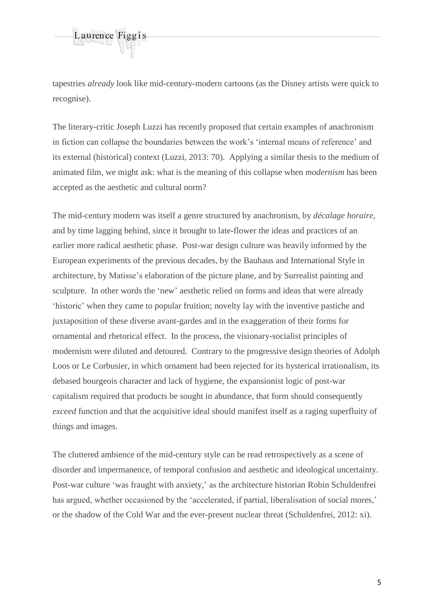

tapestries *already* look like mid-century-modern cartoons (as the Disney artists were quick to recognise).

The literary-critic Joseph Luzzi has recently proposed that certain examples of anachronism in fiction can collapse the boundaries between the work's 'internal means of reference' and its external (historical) context (Luzzi, 2013: 70). Applying a similar thesis to the medium of animated film, we might ask: what is the meaning of this collapse when *modernism* has been accepted as the aesthetic and cultural norm?

The mid-century modern was itself a genre structured by anachronism, by *décalage horaire*, and by time lagging behind, since it brought to late-flower the ideas and practices of an earlier more radical aesthetic phase. Post-war design culture was heavily informed by the European experiments of the previous decades, by the Bauhaus and International Style in architecture, by Matisse's elaboration of the picture plane, and by Surrealist painting and sculpture. In other words the 'new' aesthetic relied on forms and ideas that were already 'historic' when they came to popular fruition; novelty lay with the inventive pastiche and juxtaposition of these diverse avant-gardes and in the exaggeration of their forms for ornamental and rhetorical effect. In the process, the visionary-socialist principles of modernism were diluted and detoured. Contrary to the progressive design theories of Adolph Loos or Le Corbusier, in which ornament had been rejected for its hysterical irrationalism, its debased bourgeois character and lack of hygiene, the expansionist logic of post-war capitalism required that products be sought in abundance, that form should consequently *exceed* function and that the acquisitive ideal should manifest itself as a raging superfluity of things and images.

The cluttered ambience of the mid-century style can be read retrospectively as a scene of disorder and impermanence, of temporal confusion and aesthetic and ideological uncertainty. Post-war culture 'was fraught with anxiety,' as the architecture historian Robin Schuldenfrei has argued, whether occasioned by the 'accelerated, if partial, liberalisation of social mores,' or the shadow of the Cold War and the ever-present nuclear threat (Schuldenfrei, 2012: xi).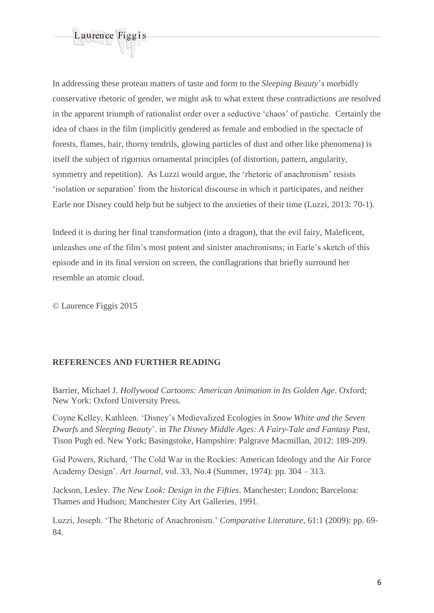

In addressing these protean matters of taste and form to the *Sleeping Beauty*'s morbidly conservative rhetoric of gender, we might ask to what extent these contradictions are resolved in the apparent triumph of rationalist order over a seductive 'chaos' of pastiche. Certainly the idea of chaos in the film (implicitly gendered as female and embodied in the spectacle of forests, flames, hair, thorny tendrils, glowing particles of dust and other like phenomena) is itself the subject of rigorous ornamental principles (of distortion, pattern, angularity, symmetry and repetition). As Luzzi would argue, the 'rhetoric of anachronism' resists 'isolation or separation' from the historical discourse in which it participates, and neither Earle nor Disney could help but be subject to the anxieties of their time (Luzzi, 2013: 70-1).

Indeed it is during her final transformation (into a dragon), that the evil fairy, Maleficent, unleashes one of the film's most potent and sinister anachronisms; in Earle's sketch of this episode and in its final version on screen, the conflagrations that briefly surround her resemble an atomic cloud.

© Laurence Figgis 2015

## **REFERENCES AND FURTHER READING**

Barrier, Michael J. *Hollywood Cartoons: American Animation in Its Golden Age*. Oxford; New York: Oxford University Press.

Coyne Kelley, Kathleen. 'Disney's Medievalized Ecologies in *Snow White and the Seven Dwarfs* and *Sleeping Beauty*'. in *The Disney Middle Ages: A Fairy-Tale and Fantasy Past*, Tison Pugh ed. New York; Basingstoke, Hampshire: Palgrave Macmillan, 2012: 189-209.

Gid Powers, Richard, 'The Cold War in the Rockies: American Ideology and the Air Force Academy Design'. *Art Journal*, vol. 33, No.4 (Summer, 1974): pp. 304 – 313.

Jackson, Lesley. *The New Look: Design in the Fifties*. Manchester; London; Barcelona: Thames and Hudson; Manchester City Art Galleries, 1991.

Luzzi, Joseph. 'The Rhetoric of Anachronism.' *Comparative Literature*, 61:1 (2009): pp. 69- 84.